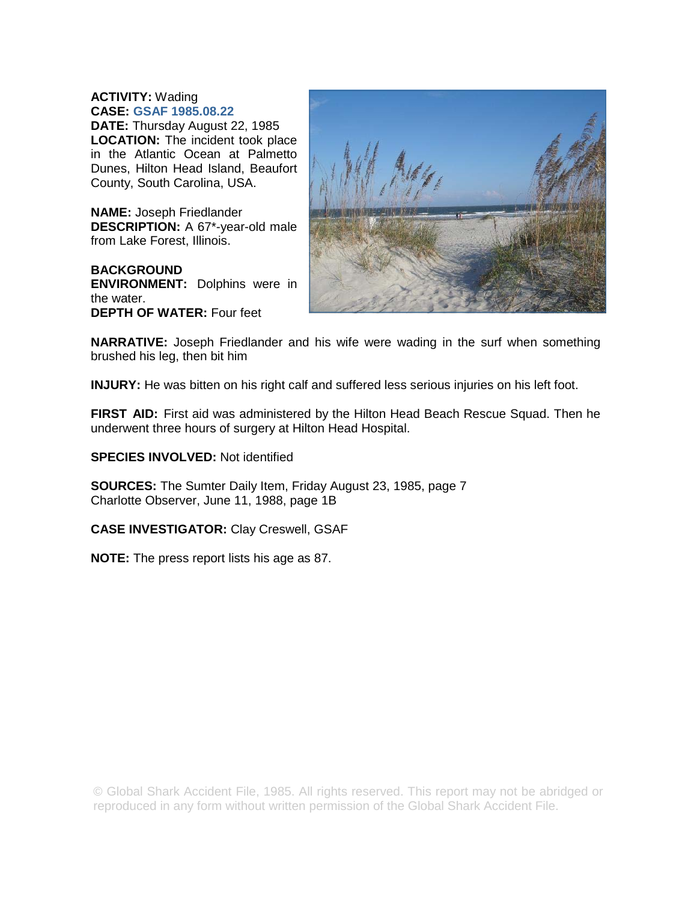## **ACTIVITY:** Wading **CASE: GSAF 1985.08.22**

**DATE:** Thursday August 22, 1985 **LOCATION:** The incident took place in the Atlantic Ocean at Palmetto Dunes, Hilton Head Island, Beaufort County, South Carolina, USA.

**NAME:** Joseph Friedlander **DESCRIPTION:** A 67\*-year-old male from Lake Forest, Illinois.

**BACKGROUND ENVIRONMENT:** Dolphins were in the water. **DEPTH OF WATER:** Four feet



**NARRATIVE:** Joseph Friedlander and his wife were wading in the surf when something brushed his leg, then bit him

**INJURY:** He was bitten on his right calf and suffered less serious injuries on his left foot.

**FIRST AID:** First aid was administered by the Hilton Head Beach Rescue Squad. Then he underwent three hours of surgery at Hilton Head Hospital.

**SPECIES INVOLVED:** Not identified

**SOURCES:** The Sumter Daily Item, Friday August 23, 1985, page 7 Charlotte Observer, June 11, 1988, page 1B

**CASE INVESTIGATOR:** Clay Creswell, GSAF

**NOTE:** The press report lists his age as 87.

© Global Shark Accident File, 1985. All rights reserved. This report may not be abridged or reproduced in any form without written permission of the Global Shark Accident File.